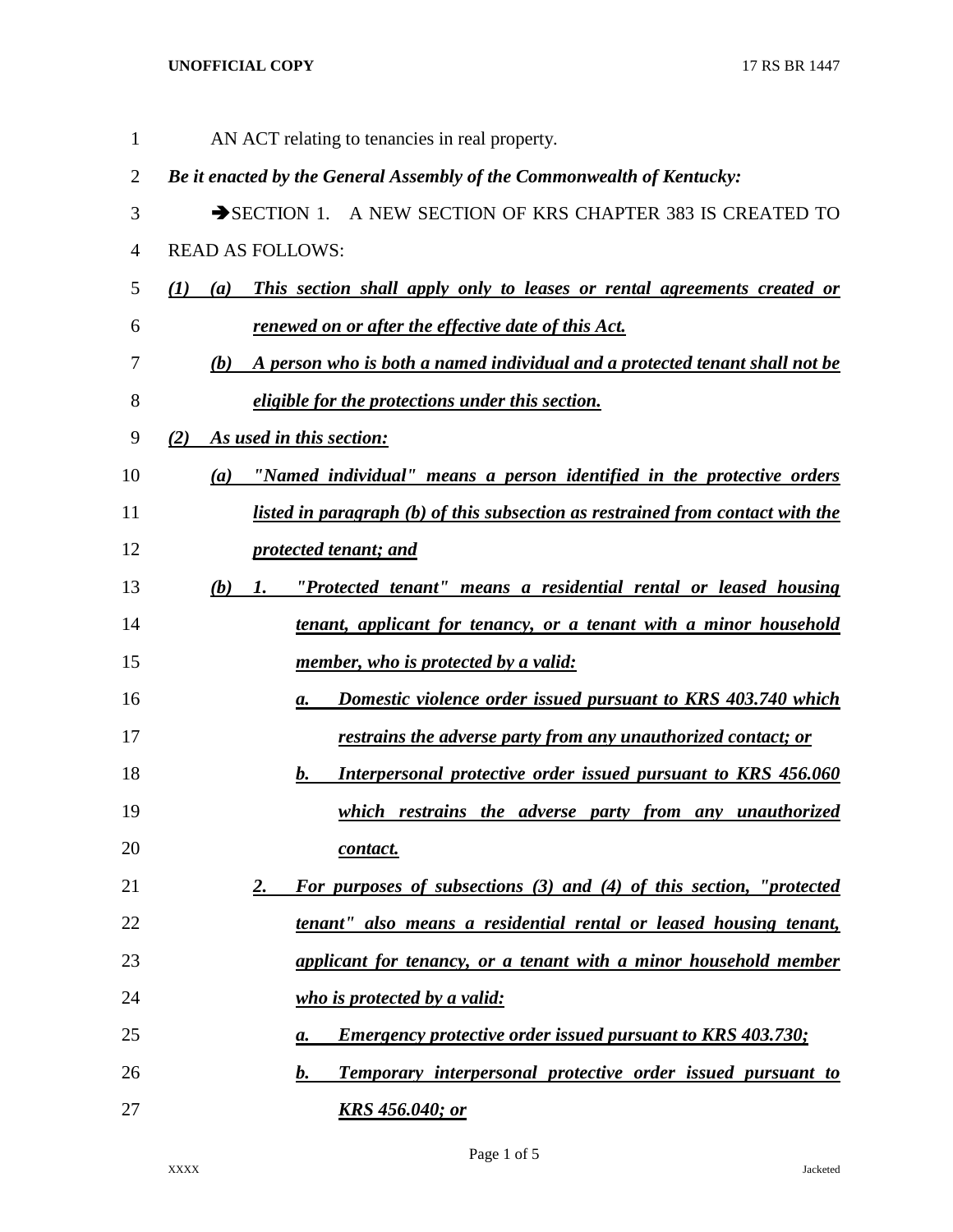## **UNOFFICIAL COPY** 17 RS BR 1447

| $\mathbf{1}$   | AN ACT relating to tenancies in real property.                                            |
|----------------|-------------------------------------------------------------------------------------------|
| $\overline{2}$ | Be it enacted by the General Assembly of the Commonwealth of Kentucky:                    |
| 3              | SECTION 1. A NEW SECTION OF KRS CHAPTER 383 IS CREATED TO                                 |
| 4              | <b>READ AS FOLLOWS:</b>                                                                   |
| 5              | This section shall apply only to leases or rental agreements created or<br>(I)<br>(a)     |
| 6              | renewed on or after the effective date of this Act.                                       |
| 7              | A person who is both a named individual and a protected tenant shall not be<br><b>(b)</b> |
| 8              | eligible for the protections under this section.                                          |
| 9              | As used in this section:<br>(2)                                                           |
| 10             | "Named individual" means a person identified in the protective orders<br>(a)              |
| 11             | listed in paragraph (b) of this subsection as restrained from contact with the            |
| 12             | protected tenant; and                                                                     |
| 13             | "Protected tenant" means a residential rental or leased housing<br>(b)<br><i>l</i> .      |
| 14             | tenant, applicant for tenancy, or a tenant with a minor household                         |
| 15             | member, who is protected by a valid:                                                      |
| 16             | Domestic violence order issued pursuant to KRS 403.740 which<br>a.                        |
| 17             | restrains the adverse party from any unauthorized contact; or                             |
| 18             | Interpersonal protective order issued pursuant to KRS 456.060<br>b.                       |
| 19             | which restrains the adverse party from any unauthorized                                   |
| 20             | contact.                                                                                  |
| 21             | For purposes of subsections (3) and (4) of this section, "protected<br>2.                 |
| 22             | tenant" also means a residential rental or leased housing tenant,                         |
| 23             | applicant for tenancy, or a tenant with a minor household member                          |
| 24             | who is protected by a valid:                                                              |
| 25             | <b>Emergency protective order issued pursuant to KRS 403.730;</b><br>а.                   |
| 26             | Temporary interpersonal protective order issued pursuant to<br>$\boldsymbol{b}$ .         |
| 27             | <b>KRS</b> 456.040; or                                                                    |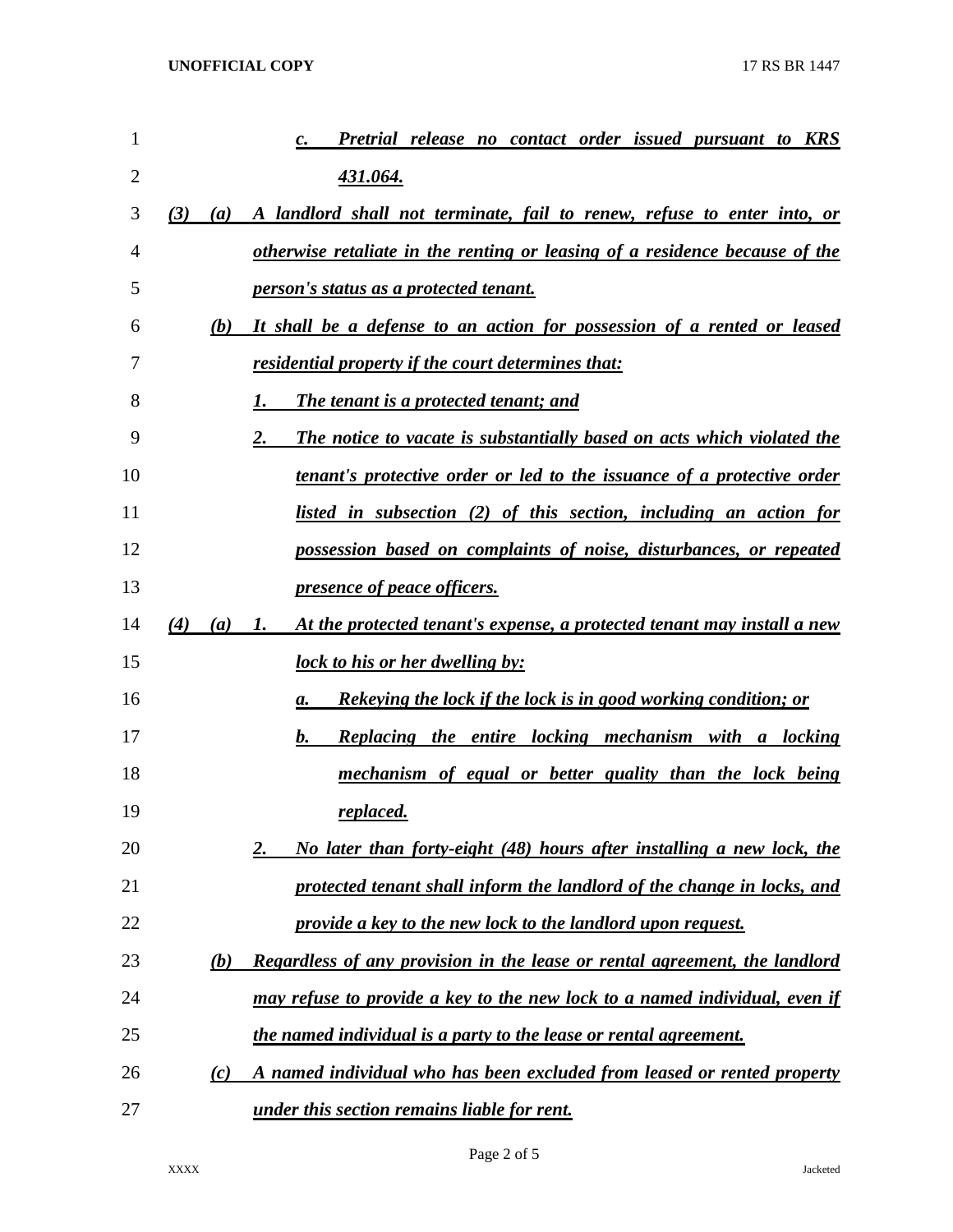| 1              |            | Pretrial release no contact order issued pursuant to KRS                           |
|----------------|------------|------------------------------------------------------------------------------------|
| $\overline{2}$ |            | 431.064.                                                                           |
| 3              | (3)<br>(a) | A landlord shall not terminate, fail to renew, refuse to enter into, or            |
| 4              |            | otherwise retaliate in the renting or leasing of a residence because of the        |
| 5              |            | person's status as a protected tenant.                                             |
| 6              | (b)        | It shall be a defense to an action for possession of a rented or leased            |
| 7              |            | <u>residential property if the court determines that:</u>                          |
| 8              |            | <b>The tenant is a protected tenant; and</b><br>1.                                 |
| 9              |            | 2.<br>The notice to vacate is substantially based on acts which violated the       |
| 10             |            | tenant's protective order or led to the issuance of a protective order             |
| 11             |            | listed in subsection (2) of this section, including an action for                  |
| 12             |            | possession based on complaints of noise, disturbances, or repeated                 |
| 13             |            | <i><u><b>presence of peace officers.</b></u></i>                                   |
| 14             | (4)<br>(a) | At the protected tenant's expense, a protected tenant may install a new<br>I.      |
| 15             |            | <u>lock to his or her dwelling by:</u>                                             |
| 16             |            | <u>Rekeying the lock if the lock is in good working condition; or</u><br>a.        |
| 17             |            | b.<br><b>Replacing the entire locking mechanism with a locking</b>                 |
| 18             |            | mechanism of equal or better quality than the lock being                           |
| 19             |            | replaced.                                                                          |
| 20             |            | No later than forty-eight (48) hours after installing a new lock, the<br><u>2.</u> |
| 21             |            | protected tenant shall inform the landlord of the change in locks, and             |
| 22             |            | provide a key to the new lock to the landlord upon request.                        |
| 23             | (b)        | Regardless of any provision in the lease or rental agreement, the landlord         |
| 24             |            | may refuse to provide a key to the new lock to a named individual, even if         |
| 25             |            | the named individual is a party to the lease or rental agreement.                  |
| 26             | (c)        | A named individual who has been excluded from leased or rented property            |
| 27             |            | under this section remains liable for rent.                                        |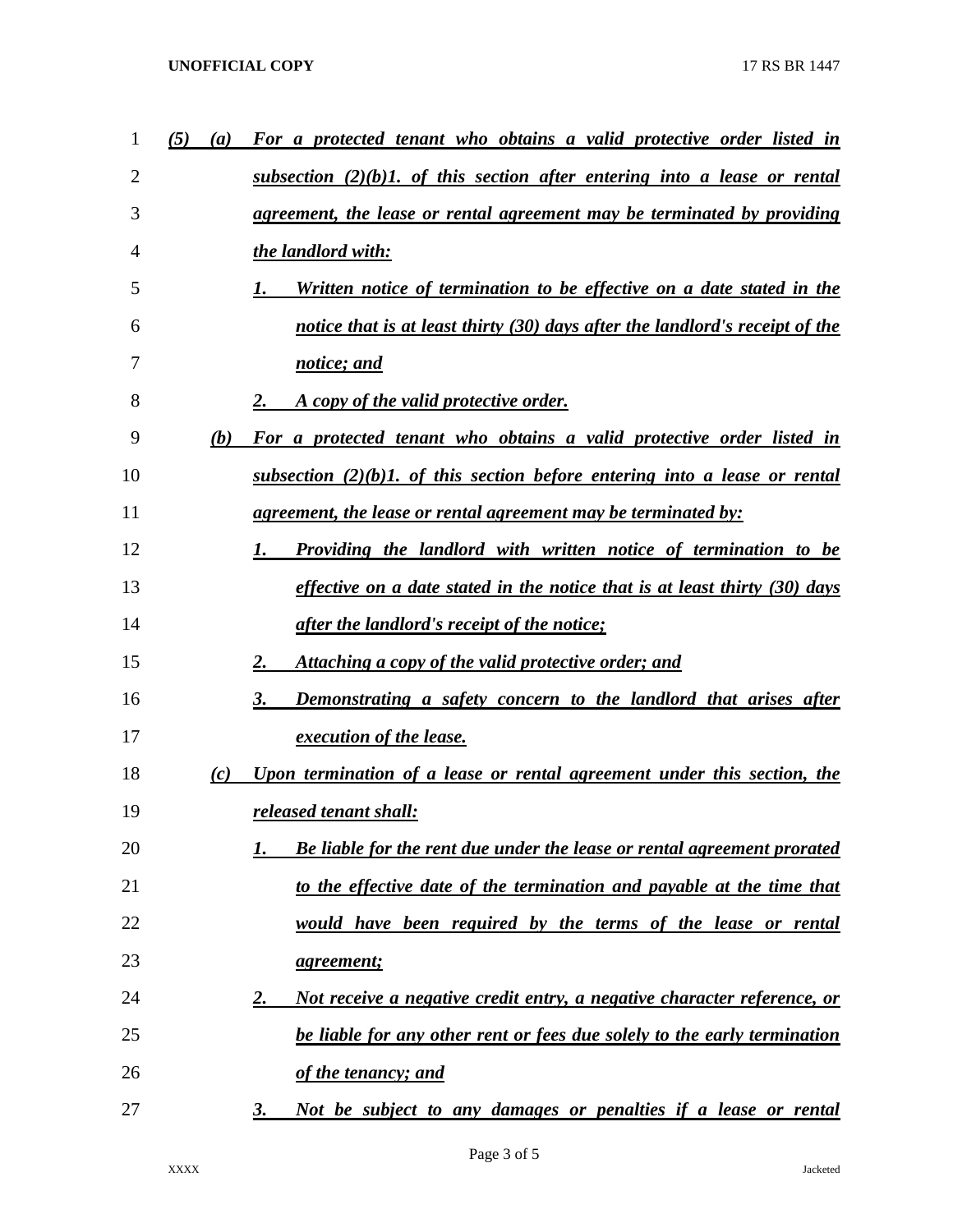## **UNOFFICIAL COPY** 17 RS BR 1447

| 1  | (5)<br>(a) | For a protected tenant who obtains a valid protective order listed in                |
|----|------------|--------------------------------------------------------------------------------------|
| 2  |            | $subsection$ (2)(b)1. of this section after entering into a lease or rental          |
| 3  |            | agreement, the lease or rental agreement may be terminated by providing              |
| 4  |            | the landlord with:                                                                   |
| 5  |            | <u>Written notice of termination to be effective on a date stated in the</u>         |
| 6  |            | notice that is at least thirty (30) days after the landlord's receipt of the         |
| 7  |            | notice; and                                                                          |
| 8  |            | 2.<br>A copy of the valid protective order.                                          |
| 9  | (b)        | For a protected tenant who obtains a valid protective order listed in                |
| 10 |            | subsection $(2)(b)$ . of this section before entering into a lease or rental         |
| 11 |            | <u>agreement, the lease or rental agreement may be terminated by:</u>                |
| 12 |            | Providing the landlord with written notice of termination to be<br>1.                |
| 13 |            | effective on a date stated in the notice that is at least thirty (30) days           |
| 14 |            | <i>after the landlord's receipt of the notice;</i>                                   |
| 15 |            | Attaching a copy of the valid protective order; and<br>2.                            |
| 16 |            | Demonstrating a safety concern to the landlord that arises after<br>3.               |
| 17 |            | execution of the lease.                                                              |
| 18 | (c)        | Upon termination of a lease or rental agreement under this section, the              |
| 19 |            | released tenant shall:                                                               |
| 20 |            | <b>Be liable for the rent due under the lease or rental agreement prorated</b>       |
| 21 |            | to the effective date of the termination and payable at the time that                |
| 22 |            | would have been required by the terms of the lease or rental                         |
| 23 |            | <i>agreement;</i>                                                                    |
| 24 |            | Not receive a negative credit entry, a negative character reference, or<br><u>2.</u> |
| 25 |            | be liable for any other rent or fees due solely to the early termination             |
| 26 |            | of the tenancy; and                                                                  |
| 27 |            | Not be subject to any damages or penalties if a lease or rental<br><u>3.</u>         |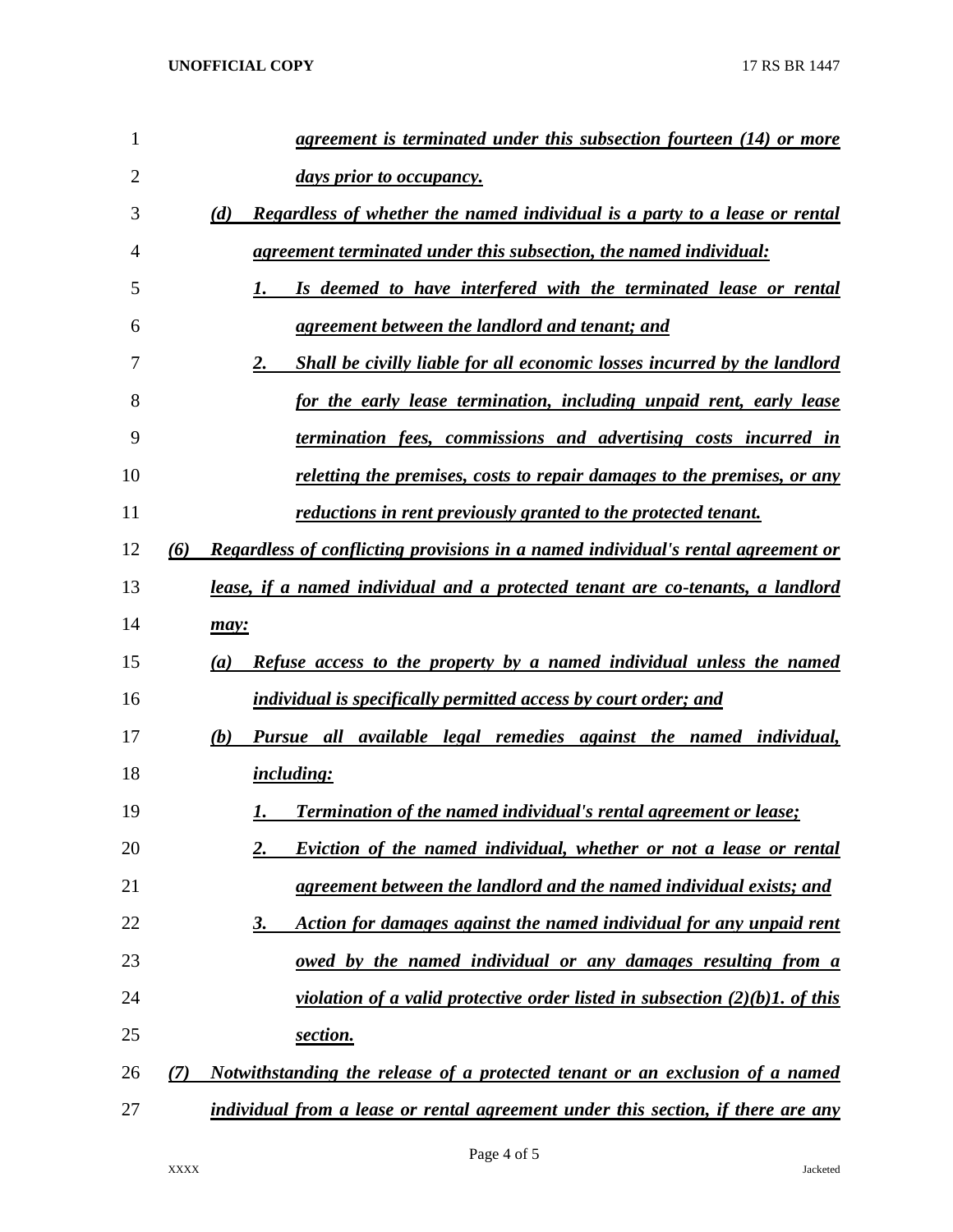| 1              |     | agreement is terminated under this subsection fourteen (14) or more                            |
|----------------|-----|------------------------------------------------------------------------------------------------|
| $\overline{2}$ |     | <u>days prior to occupancy.</u>                                                                |
| 3              |     | (d)<br>Regardless of whether the named individual is a party to a lease or rental              |
| 4              |     | agreement terminated under this subsection, the named individual:                              |
| 5              |     | Is deemed to have interfered with the terminated lease or rental<br>1.                         |
| 6              |     | agreement between the landlord and tenant; and                                                 |
| 7              |     | Shall be civilly liable for all economic losses incurred by the landlord<br>2.                 |
| 8              |     | for the early lease termination, including unpaid rent, early lease                            |
| 9              |     | termination fees, commissions and advertising costs incurred in                                |
| 10             |     | <u>reletting the premises, costs to repair damages to the premises, or any</u>                 |
| 11             |     | reductions in rent previously granted to the protected tenant.                                 |
| 12             | (6) | Regardless of conflicting provisions in a named individual's rental agreement or               |
| 13             |     | lease, if a named individual and a protected tenant are co-tenants, a landlord                 |
| 14             |     | may:                                                                                           |
| 15             |     | Refuse access to the property by a named individual unless the named<br>(a)                    |
| 16             |     | individual is specifically permitted access by court order; and                                |
| 17             |     | Pursue all available legal remedies against the named individual,<br>(b)                       |
| 18             |     | <i>including:</i>                                                                              |
| 19             |     | <b>Termination of the named individual's rental agreement or lease;</b><br>1.                  |
| 20             |     | <b>Eviction of the named individual, whether or not a lease or rental</b><br><u>2.</u>         |
| 21             |     | agreement between the landlord and the named individual exists; and                            |
| 22             |     | Action for damages against the named individual for any unpaid rent<br><u>3.</u>               |
| 23             |     | <u>owed by the named individual or any damages resulting from a</u>                            |
| 24             |     | <i>violation of a valid protective order listed in subsection <math>(2)(b)</math>. of this</i> |
| 25             |     | section.                                                                                       |
| 26             | (7) | Notwithstanding the release of a protected tenant or an exclusion of a named                   |
| 27             |     | individual from a lease or rental agreement under this section, if there are any               |